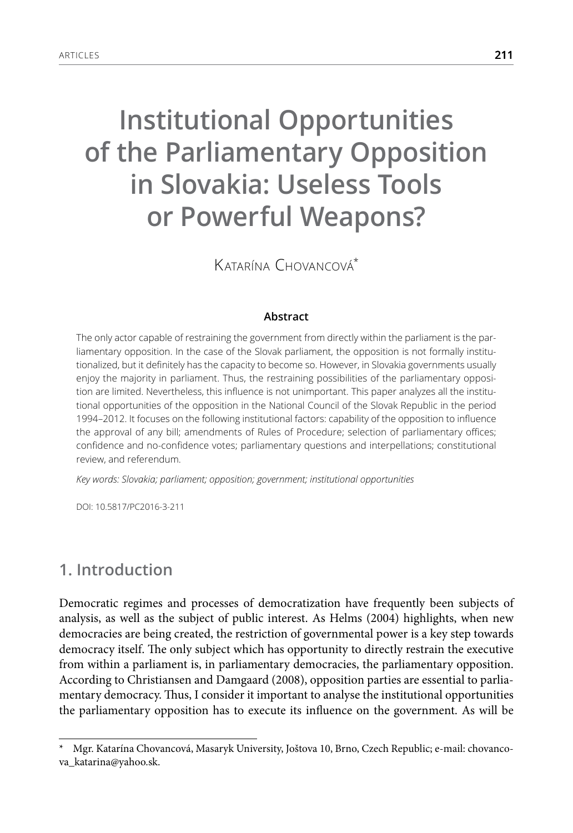# **Institutional Opportunities of the Parliamentary Opposition in Slovakia: Useless Tools or Powerful Weapons?**

Katarína Chovancová\*

#### **Abstract**

The only actor capable of restraining the government from directly within the parliament is the parliamentary opposition. In the case of the Slovak parliament, the opposition is not formally institutionalized, but it definitely has the capacity to become so. However, in Slovakia governments usually enjoy the majority in parliament. Thus, the restraining possibilities of the parliamentary opposition are limited. Nevertheless, this influence is not unimportant. This paper analyzes all the institutional opportunities of the opposition in the National Council of the Slovak Republic in the period 1994–2012. It focuses on the following institutional factors: capability of the opposition to influence the approval of any bill; amendments of Rules of Procedure; selection of parliamentary offices; confidence and no-confidence votes; parliamentary questions and interpellations; constitutional review, and referendum.

*Key words: Slovakia; parliament; opposition; government; institutional opportunities*

DOI: 10.5817/PC2016-3-211

### **1. Introduction**

Democratic regimes and processes of democratization have frequently been subjects of analysis, as well as the subject of public interest. As Helms (2004) highlights, when new democracies are being created, the restriction of governmental power is a key step towards democracy itself. The only subject which has opportunity to directly restrain the executive from within a parliament is, in parliamentary democracies, the parliamentary opposition. According to Christiansen and Damgaard (2008), opposition parties are essential to parliamentary democracy. Thus, I consider it important to analyse the institutional opportunities the parliamentary opposition has to execute its influence on the government. As will be

Mgr. Katarína Chovancová, Masaryk University, Joštova 10, Brno, Czech Republic; e-mail: chovancova\_katarina@yahoo.sk.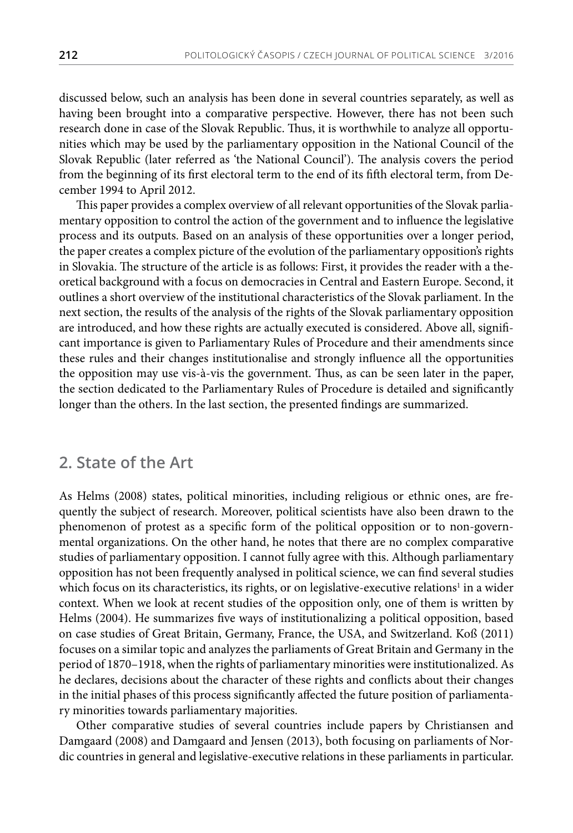discussed below, such an analysis has been done in several countries separately, as well as having been brought into a comparative perspective. However, there has not been such research done in case of the Slovak Republic. Thus, it is worthwhile to analyze all opportunities which may be used by the parliamentary opposition in the National Council of the Slovak Republic (later referred as 'the National Council'). The analysis covers the period from the beginning of its first electoral term to the end of its fifth electoral term, from December 1994 to April 2012.

This paper provides a complex overview of all relevant opportunities of the Slovak parliamentary opposition to control the action of the government and to influence the legislative process and its outputs. Based on an analysis of these opportunities over a longer period, the paper creates a complex picture of the evolution of the parliamentary opposition's rights in Slovakia. The structure of the article is as follows: First, it provides the reader with a theoretical background with a focus on democracies in Central and Eastern Europe. Second, it outlines a short overview of the institutional characteristics of the Slovak parliament. In the next section, the results of the analysis of the rights of the Slovak parliamentary opposition are introduced, and how these rights are actually executed is considered. Above all, significant importance is given to Parliamentary Rules of Procedure and their amendments since these rules and their changes institutionalise and strongly influence all the opportunities the opposition may use vis-à-vis the government. Thus, as can be seen later in the paper, the section dedicated to the Parliamentary Rules of Procedure is detailed and significantly longer than the others. In the last section, the presented findings are summarized.

#### **2. State of the Art**

As Helms (2008) states, political minorities, including religious or ethnic ones, are frequently the subject of research. Moreover, political scientists have also been drawn to the phenomenon of protest as a specific form of the political opposition or to non-governmental organizations. On the other hand, he notes that there are no complex comparative studies of parliamentary opposition. I cannot fully agree with this. Although parliamentary opposition has not been frequently analysed in political science, we can find several studies which focus on its characteristics, its rights, or on legislative-executive relations<sup>1</sup> in a wider context. When we look at recent studies of the opposition only, one of them is written by Helms (2004). He summarizes five ways of institutionalizing a political opposition, based on case studies of Great Britain, Germany, France, the USA, and Switzerland. Koß (2011) focuses on a similar topic and analyzes the parliaments of Great Britain and Germany in the period of 1870–1918, when the rights of parliamentary minorities were institutionalized. As he declares, decisions about the character of these rights and conflicts about their changes in the initial phases of this process significantly affected the future position of parliamentary minorities towards parliamentary majorities.

Other comparative studies of several countries include papers by Christiansen and Damgaard (2008) and Damgaard and Jensen (2013), both focusing on parliaments of Nordic countries in general and legislative-executive relations in these parliaments in particular.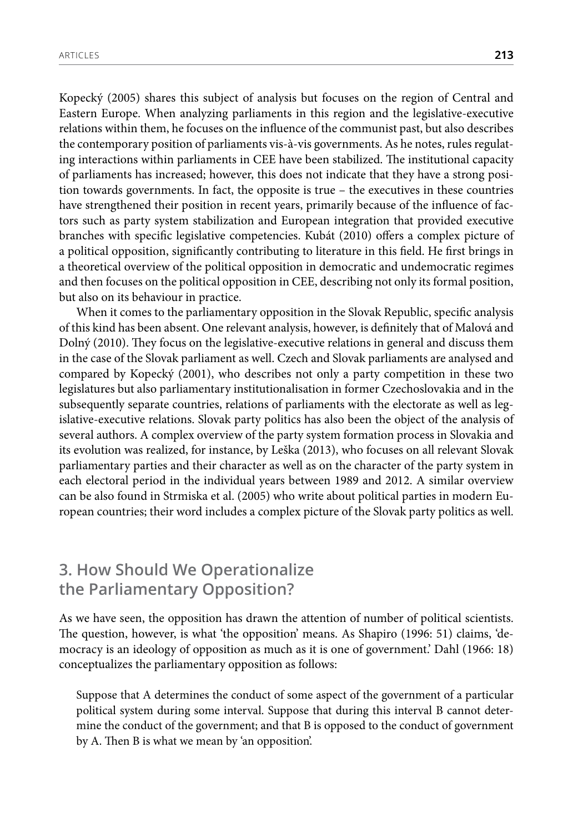Kopecký (2005) shares this subject of analysis but focuses on the region of Central and Eastern Europe. When analyzing parliaments in this region and the legislative-executive relations within them, he focuses on the influence of the communist past, but also describes the contemporary position of parliaments vis-à-vis governments. As he notes, rules regulating interactions within parliaments in CEE have been stabilized. The institutional capacity of parliaments has increased; however, this does not indicate that they have a strong position towards governments. In fact, the opposite is true – the executives in these countries have strengthened their position in recent years, primarily because of the influence of factors such as party system stabilization and European integration that provided executive branches with specific legislative competencies. Kubát (2010) offers a complex picture of a political opposition, significantly contributing to literature in this field. He first brings in a theoretical overview of the political opposition in democratic and undemocratic regimes and then focuses on the political opposition in CEE, describing not only its formal position, but also on its behaviour in practice.

When it comes to the parliamentary opposition in the Slovak Republic, specific analysis of this kind has been absent. One relevant analysis, however, is definitely that of Malová and Dolný (2010). They focus on the legislative-executive relations in general and discuss them in the case of the Slovak parliament as well. Czech and Slovak parliaments are analysed and compared by Kopecký (2001), who describes not only a party competition in these two legislatures but also parliamentary institutionalisation in former Czechoslovakia and in the subsequently separate countries, relations of parliaments with the electorate as well as legislative-executive relations. Slovak party politics has also been the object of the analysis of several authors. A complex overview of the party system formation process in Slovakia and its evolution was realized, for instance, by Leška (2013), who focuses on all relevant Slovak parliamentary parties and their character as well as on the character of the party system in each electoral period in the individual years between 1989 and 2012. A similar overview can be also found in Strmiska et al. (2005) who write about political parties in modern European countries; their word includes a complex picture of the Slovak party politics as well.

## **3. How Should We Operationalize the Parliamentary Opposition?**

As we have seen, the opposition has drawn the attention of number of political scientists. The question, however, is what 'the opposition' means. As Shapiro (1996: 51) claims, 'democracy is an ideology of opposition as much as it is one of government.' Dahl (1966: 18) conceptualizes the parliamentary opposition as follows:

Suppose that A determines the conduct of some aspect of the government of a particular political system during some interval. Suppose that during this interval B cannot determine the conduct of the government; and that B is opposed to the conduct of government by A. Then B is what we mean by 'an opposition'.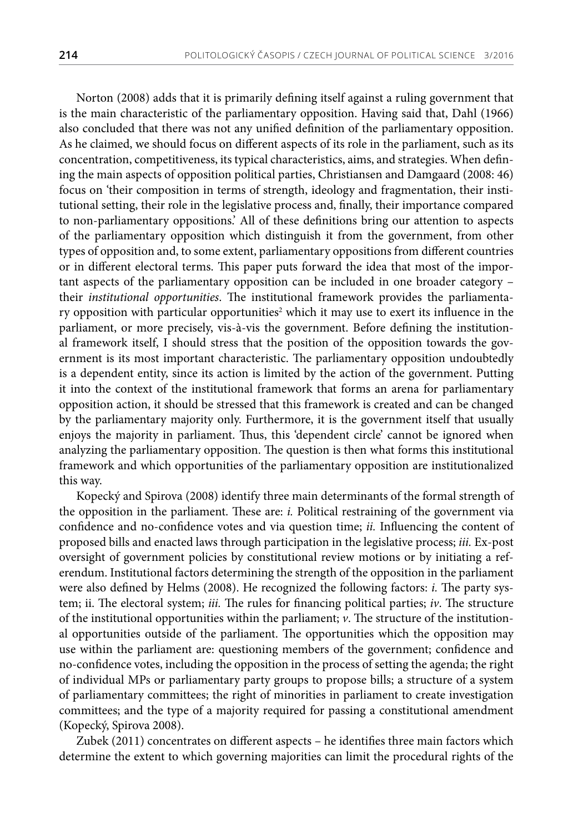Norton (2008) adds that it is primarily defining itself against a ruling government that is the main characteristic of the parliamentary opposition. Having said that, Dahl (1966) also concluded that there was not any unified definition of the parliamentary opposition. As he claimed, we should focus on different aspects of its role in the parliament, such as its concentration, competitiveness, its typical characteristics, aims, and strategies. When defining the main aspects of opposition political parties, Christiansen and Damgaard (2008: 46) focus on 'their composition in terms of strength, ideology and fragmentation, their institutional setting, their role in the legislative process and, finally, their importance compared to non-parliamentary oppositions.' All of these definitions bring our attention to aspects of the parliamentary opposition which distinguish it from the government, from other types of opposition and, to some extent, parliamentary oppositions from different countries or in different electoral terms. This paper puts forward the idea that most of the important aspects of the parliamentary opposition can be included in one broader category – their *institutional opportunities*. The institutional framework provides the parliamentary opposition with particular opportunities<sup>2</sup> which it may use to exert its influence in the parliament, or more precisely, vis-à-vis the government. Before defining the institutional framework itself, I should stress that the position of the opposition towards the government is its most important characteristic. The parliamentary opposition undoubtedly is a dependent entity, since its action is limited by the action of the government. Putting it into the context of the institutional framework that forms an arena for parliamentary opposition action, it should be stressed that this framework is created and can be changed by the parliamentary majority only. Furthermore, it is the government itself that usually enjoys the majority in parliament. Thus, this 'dependent circle' cannot be ignored when analyzing the parliamentary opposition. The question is then what forms this institutional framework and which opportunities of the parliamentary opposition are institutionalized this way.

Kopecký and Spirova (2008) identify three main determinants of the formal strength of the opposition in the parliament. These are: *i.* Political restraining of the government via confidence and no-confidence votes and via question time; *ii.* Influencing the content of proposed bills and enacted laws through participation in the legislative process; *iii.* Ex-post oversight of government policies by constitutional review motions or by initiating a referendum. Institutional factors determining the strength of the opposition in the parliament were also defined by Helms (2008). He recognized the following factors: *i.* The party system; ii. The electoral system; *iii.* The rules for financing political parties; *iv*. The structure of the institutional opportunities within the parliament; *v*. The structure of the institutional opportunities outside of the parliament. The opportunities which the opposition may use within the parliament are: questioning members of the government; confidence and no-confidence votes, including the opposition in the process of setting the agenda; the right of individual MPs or parliamentary party groups to propose bills; a structure of a system of parliamentary committees; the right of minorities in parliament to create investigation committees; and the type of a majority required for passing a constitutional amendment (Kopecký, Spirova 2008).

Zubek (2011) concentrates on different aspects – he identifies three main factors which determine the extent to which governing majorities can limit the procedural rights of the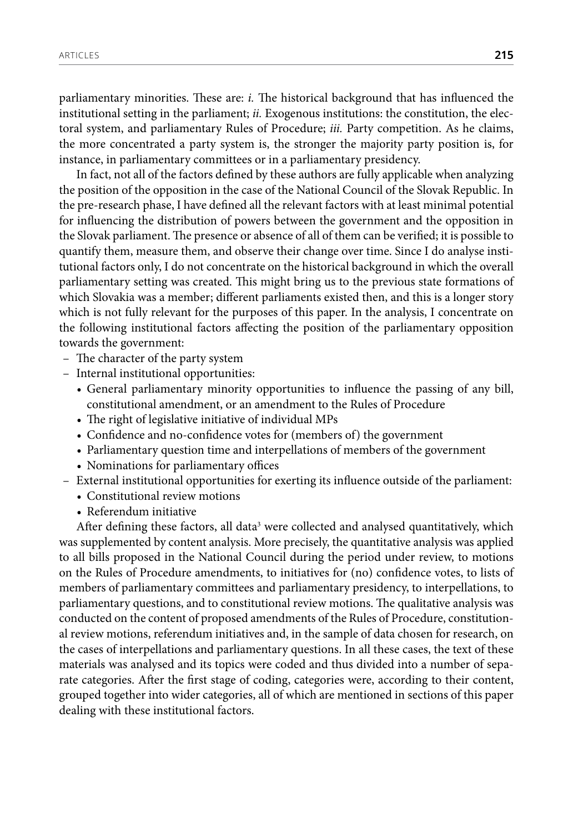parliamentary minorities. These are: *i.* The historical background that has influenced the institutional setting in the parliament; *ii.* Exogenous institutions: the constitution, the electoral system, and parliamentary Rules of Procedure; *iii.* Party competition. As he claims, the more concentrated a party system is, the stronger the majority party position is, for instance, in parliamentary committees or in a parliamentary presidency.

In fact, not all of the factors defined by these authors are fully applicable when analyzing the position of the opposition in the case of the National Council of the Slovak Republic. In the pre-research phase, I have defined all the relevant factors with at least minimal potential for influencing the distribution of powers between the government and the opposition in the Slovak parliament. The presence or absence of all of them can be verified; it is possible to quantify them, measure them, and observe their change over time. Since I do analyse institutional factors only, I do not concentrate on the historical background in which the overall parliamentary setting was created. This might bring us to the previous state formations of which Slovakia was a member; different parliaments existed then, and this is a longer story which is not fully relevant for the purposes of this paper. In the analysis, I concentrate on the following institutional factors affecting the position of the parliamentary opposition towards the government:

- The character of the party system
- Internal institutional opportunities:
	- General parliamentary minority opportunities to influence the passing of any bill, constitutional amendment, or an amendment to the Rules of Procedure
	- The right of legislative initiative of individual MPs
	- Confidence and no-confidence votes for (members of) the government
	- Parliamentary question time and interpellations of members of the government
	- Nominations for parliamentary offices
- External institutional opportunities for exerting its influence outside of the parliament:
	- Constitutional review motions
	- Referendum initiative

After defining these factors, all data<sup>3</sup> were collected and analysed quantitatively, which was supplemented by content analysis. More precisely, the quantitative analysis was applied to all bills proposed in the National Council during the period under review, to motions on the Rules of Procedure amendments, to initiatives for (no) confidence votes, to lists of members of parliamentary committees and parliamentary presidency, to interpellations, to parliamentary questions, and to constitutional review motions. The qualitative analysis was conducted on the content of proposed amendments of the Rules of Procedure, constitutional review motions, referendum initiatives and, in the sample of data chosen for research, on the cases of interpellations and parliamentary questions. In all these cases, the text of these materials was analysed and its topics were coded and thus divided into a number of separate categories. After the first stage of coding, categories were, according to their content, grouped together into wider categories, all of which are mentioned in sections of this paper dealing with these institutional factors.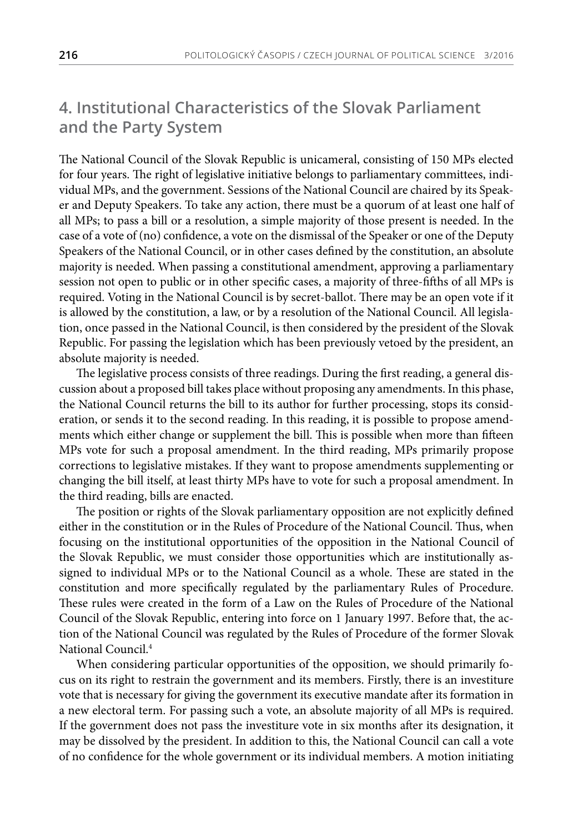## **4. Institutional Characteristics of the Slovak Parliament and the Party System**

The National Council of the Slovak Republic is unicameral, consisting of 150 MPs elected for four years. The right of legislative initiative belongs to parliamentary committees, individual MPs, and the government. Sessions of the National Council are chaired by its Speaker and Deputy Speakers. To take any action, there must be a quorum of at least one half of all MPs; to pass a bill or a resolution, a simple majority of those present is needed. In the case of a vote of (no) confidence, a vote on the dismissal of the Speaker or one of the Deputy Speakers of the National Council, or in other cases defined by the constitution, an absolute majority is needed. When passing a constitutional amendment, approving a parliamentary session not open to public or in other specific cases, a majority of three-fifths of all MPs is required. Voting in the National Council is by secret-ballot. There may be an open vote if it is allowed by the constitution, a law, or by a resolution of the National Council. All legislation, once passed in the National Council, is then considered by the president of the Slovak Republic. For passing the legislation which has been previously vetoed by the president, an absolute majority is needed.

The legislative process consists of three readings. During the first reading, a general discussion about a proposed bill takes place without proposing any amendments. In this phase, the National Council returns the bill to its author for further processing, stops its consideration, or sends it to the second reading. In this reading, it is possible to propose amendments which either change or supplement the bill. This is possible when more than fifteen MPs vote for such a proposal amendment. In the third reading, MPs primarily propose corrections to legislative mistakes. If they want to propose amendments supplementing or changing the bill itself, at least thirty MPs have to vote for such a proposal amendment. In the third reading, bills are enacted.

The position or rights of the Slovak parliamentary opposition are not explicitly defined either in the constitution or in the Rules of Procedure of the National Council. Thus, when focusing on the institutional opportunities of the opposition in the National Council of the Slovak Republic, we must consider those opportunities which are institutionally assigned to individual MPs or to the National Council as a whole. These are stated in the constitution and more specifically regulated by the parliamentary Rules of Procedure. These rules were created in the form of a Law on the Rules of Procedure of the National Council of the Slovak Republic, entering into force on 1 January 1997. Before that, the action of the National Council was regulated by the Rules of Procedure of the former Slovak National Council.4

When considering particular opportunities of the opposition, we should primarily focus on its right to restrain the government and its members. Firstly, there is an investiture vote that is necessary for giving the government its executive mandate after its formation in a new electoral term. For passing such a vote, an absolute majority of all MPs is required. If the government does not pass the investiture vote in six months after its designation, it may be dissolved by the president. In addition to this, the National Council can call a vote of no confidence for the whole government or its individual members. A motion initiating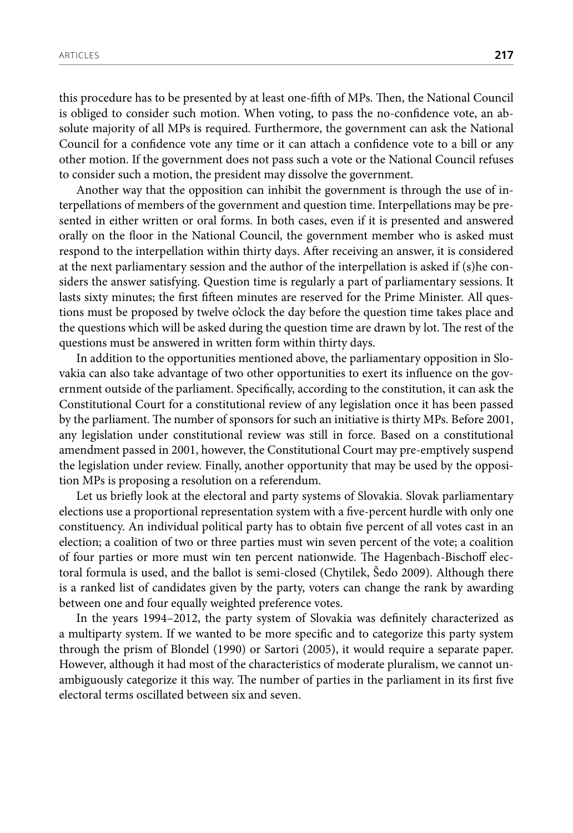this procedure has to be presented by at least one-fifth of MPs. Then, the National Council is obliged to consider such motion. When voting, to pass the no-confidence vote, an absolute majority of all MPs is required. Furthermore, the government can ask the National Council for a confidence vote any time or it can attach a confidence vote to a bill or any other motion. If the government does not pass such a vote or the National Council refuses to consider such a motion, the president may dissolve the government.

Another way that the opposition can inhibit the government is through the use of interpellations of members of the government and question time. Interpellations may be presented in either written or oral forms. In both cases, even if it is presented and answered orally on the floor in the National Council, the government member who is asked must respond to the interpellation within thirty days. After receiving an answer, it is considered at the next parliamentary session and the author of the interpellation is asked if (s)he considers the answer satisfying. Question time is regularly a part of parliamentary sessions. It lasts sixty minutes; the first fifteen minutes are reserved for the Prime Minister. All questions must be proposed by twelve o'clock the day before the question time takes place and the questions which will be asked during the question time are drawn by lot. The rest of the questions must be answered in written form within thirty days.

In addition to the opportunities mentioned above, the parliamentary opposition in Slovakia can also take advantage of two other opportunities to exert its influence on the government outside of the parliament. Specifically, according to the constitution, it can ask the Constitutional Court for a constitutional review of any legislation once it has been passed by the parliament. The number of sponsors for such an initiative is thirty MPs. Before 2001, any legislation under constitutional review was still in force. Based on a constitutional amendment passed in 2001, however, the Constitutional Court may pre-emptively suspend the legislation under review. Finally, another opportunity that may be used by the opposition MPs is proposing a resolution on a referendum.

Let us briefly look at the electoral and party systems of Slovakia. Slovak parliamentary elections use a proportional representation system with a five-percent hurdle with only one constituency. An individual political party has to obtain five percent of all votes cast in an election; a coalition of two or three parties must win seven percent of the vote; a coalition of four parties or more must win ten percent nationwide. The Hagenbach-Bischoff electoral formula is used, and the ballot is semi-closed (Chytilek, Šedo 2009). Although there is a ranked list of candidates given by the party, voters can change the rank by awarding between one and four equally weighted preference votes.

In the years 1994–2012, the party system of Slovakia was definitely characterized as a multiparty system. If we wanted to be more specific and to categorize this party system through the prism of Blondel (1990) or Sartori (2005), it would require a separate paper. However, although it had most of the characteristics of moderate pluralism, we cannot unambiguously categorize it this way. The number of parties in the parliament in its first five electoral terms oscillated between six and seven.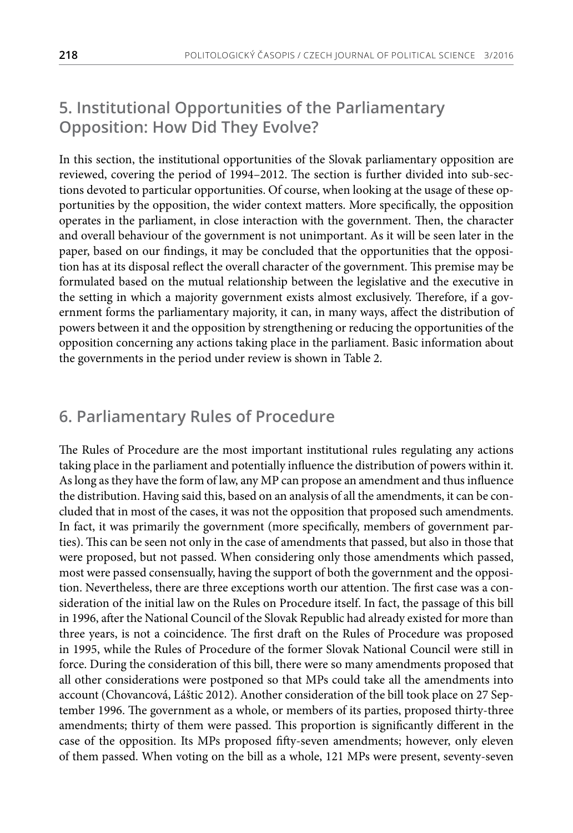## **5. Institutional Opportunities of the Parliamentary Opposition: How Did They Evolve?**

In this section, the institutional opportunities of the Slovak parliamentary opposition are reviewed, covering the period of 1994–2012. The section is further divided into sub-sections devoted to particular opportunities. Of course, when looking at the usage of these opportunities by the opposition, the wider context matters. More specifically, the opposition operates in the parliament, in close interaction with the government. Then, the character and overall behaviour of the government is not unimportant. As it will be seen later in the paper, based on our findings, it may be concluded that the opportunities that the opposition has at its disposal reflect the overall character of the government. This premise may be formulated based on the mutual relationship between the legislative and the executive in the setting in which a majority government exists almost exclusively. Therefore, if a government forms the parliamentary majority, it can, in many ways, affect the distribution of powers between it and the opposition by strengthening or reducing the opportunities of the opposition concerning any actions taking place in the parliament. Basic information about the governments in the period under review is shown in Table 2.

#### **6. Parliamentary Rules of Procedure**

The Rules of Procedure are the most important institutional rules regulating any actions taking place in the parliament and potentially influence the distribution of powers within it. As long as they have the form of law, any MP can propose an amendment and thus influence the distribution. Having said this, based on an analysis of all the amendments, it can be concluded that in most of the cases, it was not the opposition that proposed such amendments. In fact, it was primarily the government (more specifically, members of government parties). This can be seen not only in the case of amendments that passed, but also in those that were proposed, but not passed. When considering only those amendments which passed, most were passed consensually, having the support of both the government and the opposition. Nevertheless, there are three exceptions worth our attention. The first case was a consideration of the initial law on the Rules on Procedure itself. In fact, the passage of this bill in 1996, after the National Council of the Slovak Republic had already existed for more than three years, is not a coincidence. The first draft on the Rules of Procedure was proposed in 1995, while the Rules of Procedure of the former Slovak National Council were still in force. During the consideration of this bill, there were so many amendments proposed that all other considerations were postponed so that MPs could take all the amendments into account (Chovancová, Láštic 2012). Another consideration of the bill took place on 27 September 1996. The government as a whole, or members of its parties, proposed thirty-three amendments; thirty of them were passed. This proportion is significantly different in the case of the opposition. Its MPs proposed fifty-seven amendments; however, only eleven of them passed. When voting on the bill as a whole, 121 MPs were present, seventy-seven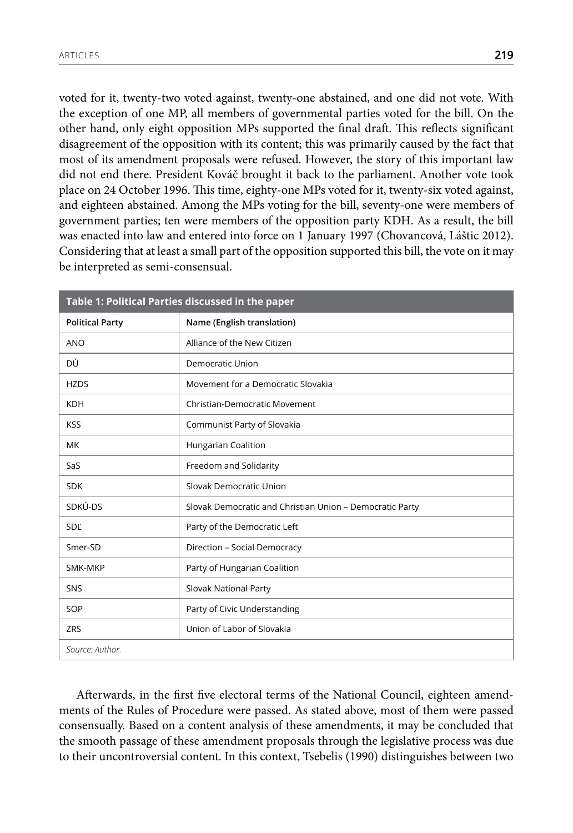voted for it, twenty-two voted against, twenty-one abstained, and one did not vote. With the exception of one MP, all members of governmental parties voted for the bill. On the other hand, only eight opposition MPs supported the final draft. This reflects significant disagreement of the opposition with its content; this was primarily caused by the fact that most of its amendment proposals were refused. However, the story of this important law did not end there. President Kováč brought it back to the parliament. Another vote took place on 24 October 1996. This time, eighty-one MPs voted for it, twenty-six voted against, and eighteen abstained. Among the MPs voting for the bill, seventy-one were members of government parties; ten were members of the opposition party KDH. As a result, the bill was enacted into law and entered into force on 1 January 1997 (Chovancová, Láštic 2012). Considering that at least a small part of the opposition supported this bill, the vote on it may be interpreted as semi-consensual.

| Table 1: Political Parties discussed in the paper |                                                          |  |  |  |
|---------------------------------------------------|----------------------------------------------------------|--|--|--|
| <b>Political Party</b>                            | Name (English translation)                               |  |  |  |
| <b>ANO</b>                                        | Alliance of the New Citizen                              |  |  |  |
| DÚ                                                | Democratic Union                                         |  |  |  |
| <b>HZDS</b>                                       | Movement for a Democratic Slovakia                       |  |  |  |
| <b>KDH</b>                                        | Christian-Democratic Movement                            |  |  |  |
| <b>KSS</b>                                        | Communist Party of Slovakia                              |  |  |  |
| МK                                                | Hungarian Coalition                                      |  |  |  |
| SaS                                               | Freedom and Solidarity                                   |  |  |  |
| <b>SDK</b>                                        | Slovak Democratic Union                                  |  |  |  |
| SDKÚ-DS                                           | Slovak Democratic and Christian Union - Democratic Party |  |  |  |
| SDĽ                                               | Party of the Democratic Left                             |  |  |  |
| Smer-SD                                           | Direction - Social Democracy                             |  |  |  |
| SMK-MKP                                           | Party of Hungarian Coalition                             |  |  |  |
| SNS                                               | Slovak National Party                                    |  |  |  |
| SOP                                               | Party of Civic Understanding                             |  |  |  |
| ZRS                                               | Union of Labor of Slovakia                               |  |  |  |
| Source: Author.                                   |                                                          |  |  |  |

Afterwards, in the first five electoral terms of the National Council, eighteen amendments of the Rules of Procedure were passed. As stated above, most of them were passed consensually. Based on a content analysis of these amendments, it may be concluded that the smooth passage of these amendment proposals through the legislative process was due to their uncontroversial content. In this context, Tsebelis (1990) distinguishes between two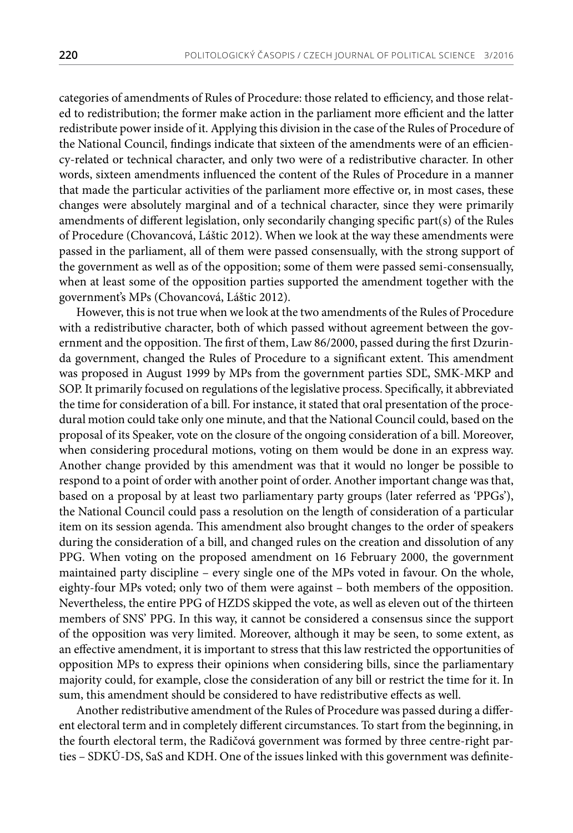categories of amendments of Rules of Procedure: those related to efficiency, and those related to redistribution; the former make action in the parliament more efficient and the latter redistribute power inside of it. Applying this division in the case of the Rules of Procedure of the National Council, findings indicate that sixteen of the amendments were of an efficiency-related or technical character, and only two were of a redistributive character. In other words, sixteen amendments influenced the content of the Rules of Procedure in a manner that made the particular activities of the parliament more effective or, in most cases, these changes were absolutely marginal and of a technical character, since they were primarily amendments of different legislation, only secondarily changing specific part(s) of the Rules of Procedure (Chovancová, Láštic 2012). When we look at the way these amendments were passed in the parliament, all of them were passed consensually, with the strong support of the government as well as of the opposition; some of them were passed semi-consensually, when at least some of the opposition parties supported the amendment together with the government's MPs (Chovancová, Láštic 2012).

However, this is not true when we look at the two amendments of the Rules of Procedure with a redistributive character, both of which passed without agreement between the government and the opposition. The first of them, Law 86/2000, passed during the first Dzurinda government, changed the Rules of Procedure to a significant extent. This amendment was proposed in August 1999 by MPs from the government parties SDĽ, SMK-MKP and SOP. It primarily focused on regulations of the legislative process. Specifically, it abbreviated the time for consideration of a bill. For instance, it stated that oral presentation of the procedural motion could take only one minute, and that the National Council could, based on the proposal of its Speaker, vote on the closure of the ongoing consideration of a bill. Moreover, when considering procedural motions, voting on them would be done in an express way. Another change provided by this amendment was that it would no longer be possible to respond to a point of order with another point of order. Another important change was that, based on a proposal by at least two parliamentary party groups (later referred as 'PPGs'), the National Council could pass a resolution on the length of consideration of a particular item on its session agenda. This amendment also brought changes to the order of speakers during the consideration of a bill, and changed rules on the creation and dissolution of any PPG. When voting on the proposed amendment on 16 February 2000, the government maintained party discipline – every single one of the MPs voted in favour. On the whole, eighty-four MPs voted; only two of them were against – both members of the opposition. Nevertheless, the entire PPG of HZDS skipped the vote, as well as eleven out of the thirteen members of SNS' PPG. In this way, it cannot be considered a consensus since the support of the opposition was very limited. Moreover, although it may be seen, to some extent, as an effective amendment, it is important to stress that this law restricted the opportunities of opposition MPs to express their opinions when considering bills, since the parliamentary majority could, for example, close the consideration of any bill or restrict the time for it. In sum, this amendment should be considered to have redistributive effects as well.

Another redistributive amendment of the Rules of Procedure was passed during a different electoral term and in completely different circumstances. To start from the beginning, in the fourth electoral term, the Radičová government was formed by three centre-right parties – SDKÚ-DS, SaS and KDH. One of the issues linked with this government was definite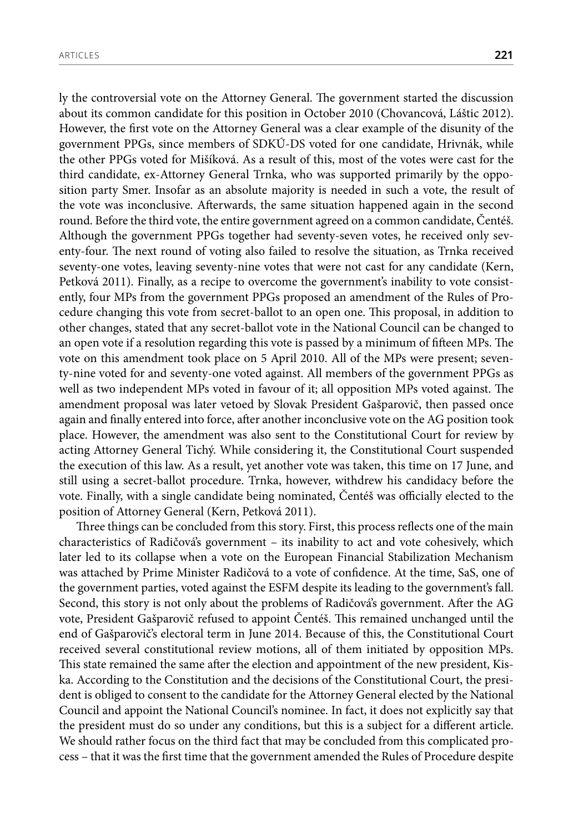ly the controversial vote on the Attorney General. The government started the discussion about its common candidate for this position in October 2010 (Chovancová, Láštic 2012). However, the first vote on the Attorney General was a clear example of the disunity of the government PPGs, since members of SDKÚ-DS voted for one candidate, Hrivnák, while the other PPGs voted for Mišíková. As a result of this, most of the votes were cast for the third candidate, ex-Attorney General Trnka, who was supported primarily by the opposition party Smer. Insofar as an absolute majority is needed in such a vote, the result of the vote was inconclusive. Afterwards, the same situation happened again in the second round. Before the third vote, the entire government agreed on a common candidate, Čentéš. Although the government PPGs together had seventy-seven votes, he received only seventy-four. The next round of voting also failed to resolve the situation, as Trnka received seventy-one votes, leaving seventy-nine votes that were not cast for any candidate (Kern, Petková 2011). Finally, as a recipe to overcome the government's inability to vote consistently, four MPs from the government PPGs proposed an amendment of the Rules of Procedure changing this vote from secret-ballot to an open one. This proposal, in addition to other changes, stated that any secret-ballot vote in the National Council can be changed to an open vote if a resolution regarding this vote is passed by a minimum of fifteen MPs. The vote on this amendment took place on 5 April 2010. All of the MPs were present; seventy-nine voted for and seventy-one voted against. All members of the government PPGs as well as two independent MPs voted in favour of it; all opposition MPs voted against. The amendment proposal was later vetoed by Slovak President Gašparovič, then passed once again and finally entered into force, after another inconclusive vote on the AG position took place. However, the amendment was also sent to the Constitutional Court for review by acting Attorney General Tichý. While considering it, the Constitutional Court suspended the execution of this law. As a result, yet another vote was taken, this time on 17 June, and still using a secret-ballot procedure. Trnka, however, withdrew his candidacy before the vote. Finally, with a single candidate being nominated, Čentéš was officially elected to the position of Attorney General (Kern, Petková 2011).

Three things can be concluded from this story. First, this process reflects one of the main characteristics of Radičová's government – its inability to act and vote cohesively, which later led to its collapse when a vote on the European Financial Stabilization Mechanism was attached by Prime Minister Radičová to a vote of confidence. At the time, SaS, one of the government parties, voted against the ESFM despite its leading to the government's fall. Second, this story is not only about the problems of Radičová's government. After the AG vote, President Gašparovič refused to appoint Čentéš. This remained unchanged until the end of Gašparovič's electoral term in June 2014. Because of this, the Constitutional Court received several constitutional review motions, all of them initiated by opposition MPs. This state remained the same after the election and appointment of the new president, Kiska. According to the Constitution and the decisions of the Constitutional Court, the president is obliged to consent to the candidate for the Attorney General elected by the National Council and appoint the National Council's nominee. In fact, it does not explicitly say that the president must do so under any conditions, but this is a subject for a different article. We should rather focus on the third fact that may be concluded from this complicated process – that it was the first time that the government amended the Rules of Procedure despite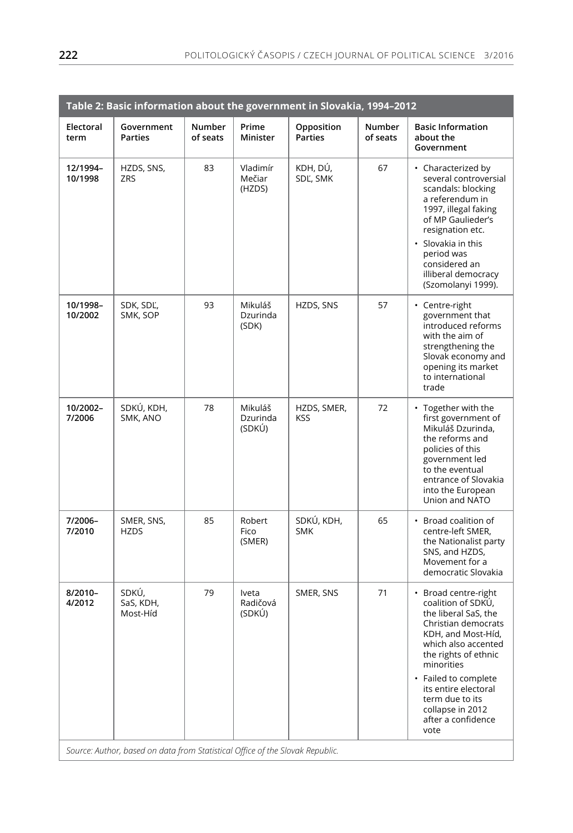| Table 2: Basic information about the government in Slovakia, 1994-2012        |                                |                           |                               |                              |                           |                                                                                                                                                                                                                                                                                                   |
|-------------------------------------------------------------------------------|--------------------------------|---------------------------|-------------------------------|------------------------------|---------------------------|---------------------------------------------------------------------------------------------------------------------------------------------------------------------------------------------------------------------------------------------------------------------------------------------------|
| Electoral<br>term                                                             | Government<br><b>Parties</b>   | <b>Number</b><br>of seats | Prime<br>Minister             | Opposition<br><b>Parties</b> | <b>Number</b><br>of seats | <b>Basic Information</b><br>about the<br>Government                                                                                                                                                                                                                                               |
| 12/1994-<br>10/1998                                                           | HZDS, SNS,<br><b>ZRS</b>       | 83                        | Vladimír<br>Mečiar<br>(HZDS)  | KDH, DÚ,<br>SDĽ, SMK         | 67                        | • Characterized by<br>several controversial<br>scandals: blocking<br>a referendum in<br>1997, illegal faking<br>of MP Gaulieder's<br>resignation etc.<br>• Slovakia in this<br>period was<br>considered an<br>illiberal democracy<br>(Szomolanyi 1999).                                           |
| 10/1998-<br>10/2002                                                           | SDK, SDĽ,<br>SMK, SOP          | 93                        | Mikuláš<br>Dzurinda<br>(SDK)  | HZDS, SNS                    | 57                        | • Centre-right<br>government that<br>introduced reforms<br>with the aim of<br>strengthening the<br>Slovak economy and<br>opening its market<br>to international<br>trade                                                                                                                          |
| 10/2002-<br>7/2006                                                            | SDKÚ, KDH,<br>SMK, ANO         | 78                        | Mikuláš<br>Dzurinda<br>(SDKÚ) | HZDS, SMER,<br><b>KSS</b>    | 72                        | • Together with the<br>first government of<br>Mikuláš Dzurinda,<br>the reforms and<br>policies of this<br>government led<br>to the eventual<br>entrance of Slovakia<br>into the European<br>Union and NATO                                                                                        |
| 7/2006-<br>7/2010                                                             | SMER, SNS,<br><b>HZDS</b>      | 85                        | Robert<br>Fico<br>(SMER)      | SDKÚ, KDH,<br><b>SMK</b>     | 65                        | • Broad coalition of<br>centre-left SMER,<br>the Nationalist party<br>SNS, and HZDS,<br>Movement for a<br>democratic Slovakia                                                                                                                                                                     |
| 8/2010-<br>4/2012                                                             | SDKÚ,<br>SaS, KDH,<br>Most-Híd | 79                        | Iveta<br>Radičová<br>(SDKÚ)   | SMER, SNS                    | 71                        | • Broad centre-right<br>coalition of SDKÚ,<br>the liberal SaS, the<br>Christian democrats<br>KDH, and Most-Híd,<br>which also accented<br>the rights of ethnic<br>minorities<br>• Failed to complete<br>its entire electoral<br>term due to its<br>collapse in 2012<br>after a confidence<br>vote |
| Source: Author, based on data from Statistical Office of the Slovak Republic. |                                |                           |                               |                              |                           |                                                                                                                                                                                                                                                                                                   |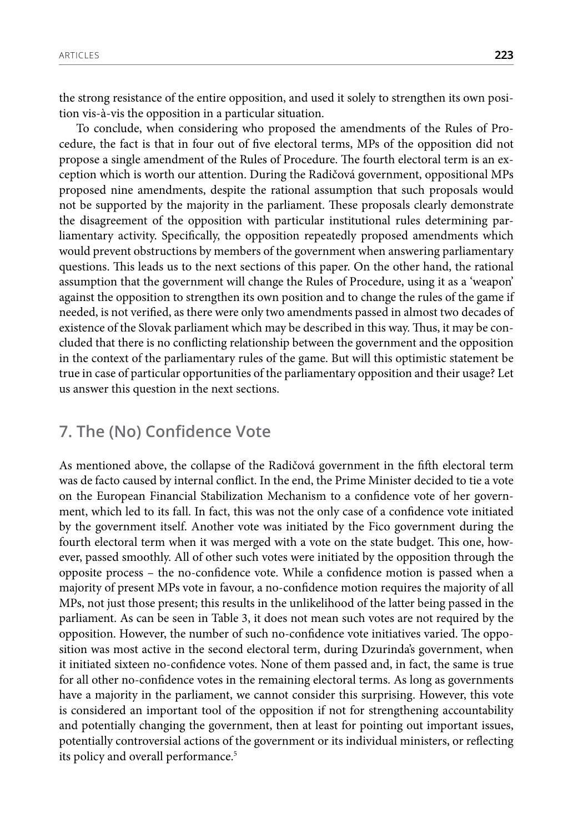the strong resistance of the entire opposition, and used it solely to strengthen its own position vis-à-vis the opposition in a particular situation.

To conclude, when considering who proposed the amendments of the Rules of Procedure, the fact is that in four out of five electoral terms, MPs of the opposition did not propose a single amendment of the Rules of Procedure. The fourth electoral term is an exception which is worth our attention. During the Radičová government, oppositional MPs proposed nine amendments, despite the rational assumption that such proposals would not be supported by the majority in the parliament. These proposals clearly demonstrate the disagreement of the opposition with particular institutional rules determining parliamentary activity. Specifically, the opposition repeatedly proposed amendments which would prevent obstructions by members of the government when answering parliamentary questions. This leads us to the next sections of this paper. On the other hand, the rational assumption that the government will change the Rules of Procedure, using it as a 'weapon' against the opposition to strengthen its own position and to change the rules of the game if needed, is not verified, as there were only two amendments passed in almost two decades of existence of the Slovak parliament which may be described in this way. Thus, it may be concluded that there is no conflicting relationship between the government and the opposition in the context of the parliamentary rules of the game. But will this optimistic statement be true in case of particular opportunities of the parliamentary opposition and their usage? Let us answer this question in the next sections.

#### **7. The (No) Confidence Vote**

As mentioned above, the collapse of the Radičová government in the fifth electoral term was de facto caused by internal conflict. In the end, the Prime Minister decided to tie a vote on the European Financial Stabilization Mechanism to a confidence vote of her government, which led to its fall. In fact, this was not the only case of a confidence vote initiated by the government itself. Another vote was initiated by the Fico government during the fourth electoral term when it was merged with a vote on the state budget. This one, however, passed smoothly. All of other such votes were initiated by the opposition through the opposite process – the no-confidence vote. While a confidence motion is passed when a majority of present MPs vote in favour, a no-confidence motion requires the majority of all MPs, not just those present; this results in the unlikelihood of the latter being passed in the parliament. As can be seen in Table 3, it does not mean such votes are not required by the opposition. However, the number of such no-confidence vote initiatives varied. The opposition was most active in the second electoral term, during Dzurinda's government, when it initiated sixteen no-confidence votes. None of them passed and, in fact, the same is true for all other no-confidence votes in the remaining electoral terms. As long as governments have a majority in the parliament, we cannot consider this surprising. However, this vote is considered an important tool of the opposition if not for strengthening accountability and potentially changing the government, then at least for pointing out important issues, potentially controversial actions of the government or its individual ministers, or reflecting its policy and overall performance.<sup>5</sup>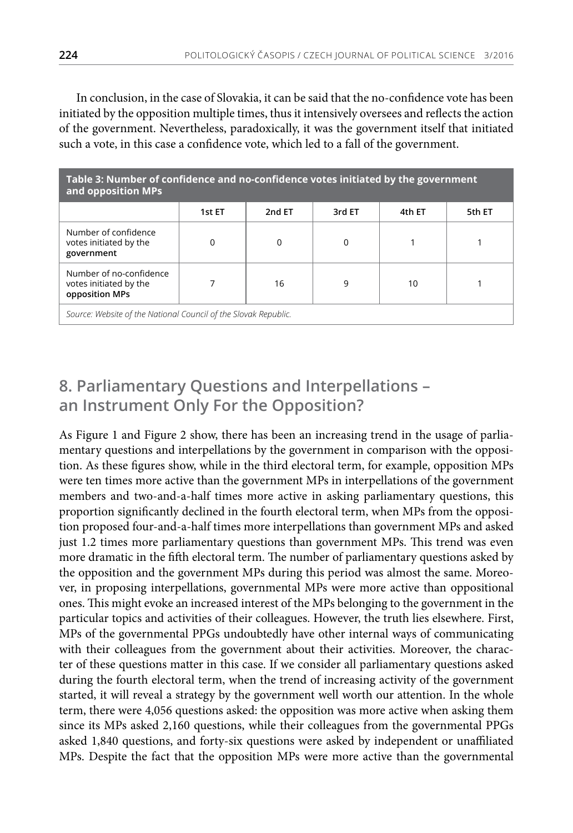In conclusion, in the case of Slovakia, it can be said that the no-confidence vote has been initiated by the opposition multiple times, thus it intensively oversees and reflects the action of the government. Nevertheless, paradoxically, it was the government itself that initiated such a vote, in this case a confidence vote, which led to a fall of the government.

| Table 3: Number of confidence and no-confidence votes initiated by the government<br>and opposition MPs |        |        |        |        |        |  |
|---------------------------------------------------------------------------------------------------------|--------|--------|--------|--------|--------|--|
|                                                                                                         | 1st ET | 2nd ET | 3rd ET | 4th ET | 5th ET |  |
| Number of confidence<br>votes initiated by the<br>government                                            |        | 0      | 0      |        |        |  |
| Number of no-confidence<br>votes initiated by the<br>opposition MPs                                     |        | 16     | 9      | 10     |        |  |
| Source: Website of the National Council of the Slovak Republic.                                         |        |        |        |        |        |  |

## **8. Parliamentary Questions and Interpellations – an Instrument Only For the Opposition?**

As Figure 1 and Figure 2 show, there has been an increasing trend in the usage of parliamentary questions and interpellations by the government in comparison with the opposition. As these figures show, while in the third electoral term, for example, opposition MPs were ten times more active than the government MPs in interpellations of the government members and two-and-a-half times more active in asking parliamentary questions, this proportion significantly declined in the fourth electoral term, when MPs from the opposition proposed four-and-a-half times more interpellations than government MPs and asked just 1.2 times more parliamentary questions than government MPs. This trend was even more dramatic in the fifth electoral term. The number of parliamentary questions asked by the opposition and the government MPs during this period was almost the same. Moreover, in proposing interpellations, governmental MPs were more active than oppositional ones. This might evoke an increased interest of the MPs belonging to the government in the particular topics and activities of their colleagues. However, the truth lies elsewhere. First, MPs of the governmental PPGs undoubtedly have other internal ways of communicating with their colleagues from the government about their activities. Moreover, the character of these questions matter in this case. If we consider all parliamentary questions asked during the fourth electoral term, when the trend of increasing activity of the government started, it will reveal a strategy by the government well worth our attention. In the whole term, there were 4,056 questions asked: the opposition was more active when asking them since its MPs asked 2,160 questions, while their colleagues from the governmental PPGs asked 1,840 questions, and forty-six questions were asked by independent or unaffiliated MPs. Despite the fact that the opposition MPs were more active than the governmental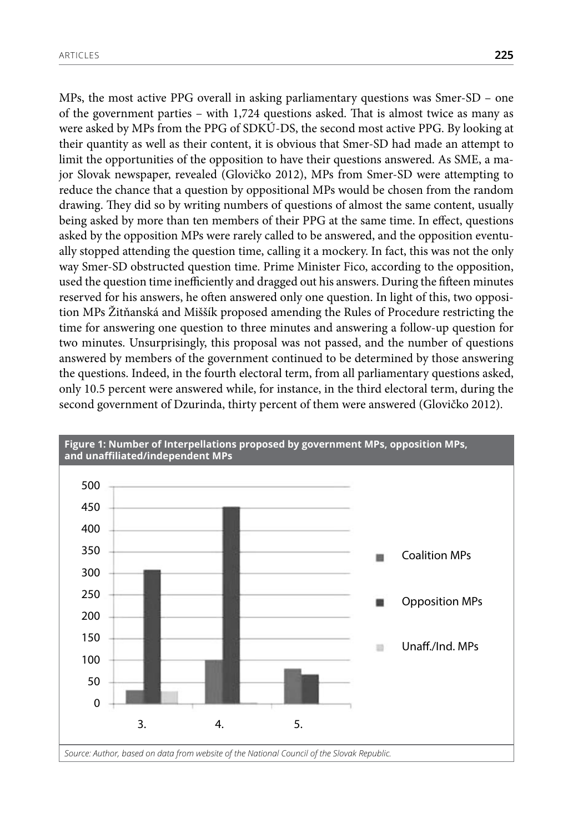MPs, the most active PPG overall in asking parliamentary questions was Smer-SD – one of the government parties – with 1,724 questions asked. That is almost twice as many as were asked by MPs from the PPG of SDKÚ-DS, the second most active PPG. By looking at their quantity as well as their content, it is obvious that Smer-SD had made an attempt to limit the opportunities of the opposition to have their questions answered. As SME, a major Slovak newspaper, revealed (Glovičko 2012), MPs from Smer-SD were attempting to reduce the chance that a question by oppositional MPs would be chosen from the random drawing. They did so by writing numbers of questions of almost the same content, usually being asked by more than ten members of their PPG at the same time. In effect, questions asked by the opposition MPs were rarely called to be answered, and the opposition eventually stopped attending the question time, calling it a mockery. In fact, this was not the only way Smer-SD obstructed question time. Prime Minister Fico, according to the opposition, used the question time inefficiently and dragged out his answers. During the fifteen minutes reserved for his answers, he often answered only one question. In light of this, two opposition MPs Žitňanská and Miššík proposed amending the Rules of Procedure restricting the time for answering one question to three minutes and answering a follow-up question for two minutes. Unsurprisingly, this proposal was not passed, and the number of questions answered by members of the government continued to be determined by those answering the questions. Indeed, in the fourth electoral term, from all parliamentary questions asked, only 10.5 percent were answered while, for instance, in the third electoral term, during the second government of Dzurinda, thirty percent of them were answered (Glovičko 2012).

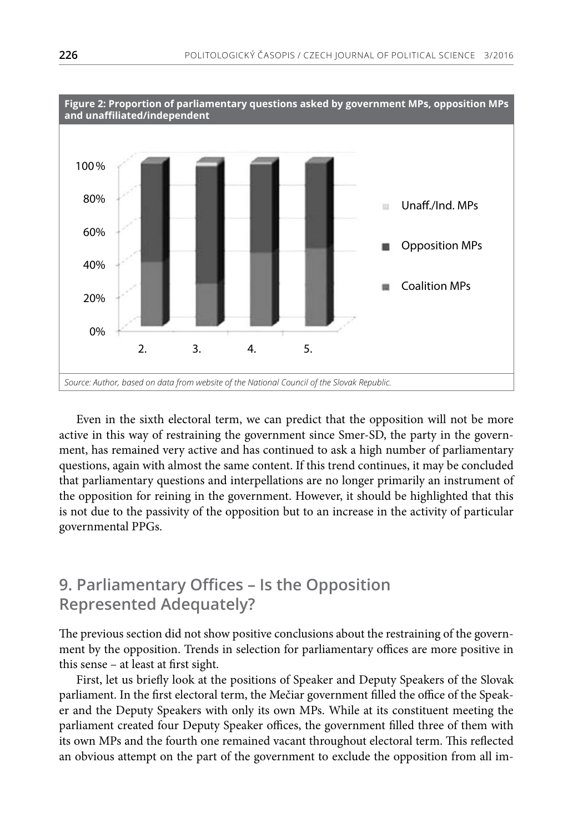

Even in the sixth electoral term, we can predict that the opposition will not be more active in this way of restraining the government since Smer-SD, the party in the government, has remained very active and has continued to ask a high number of parliamentary questions, again with almost the same content. If this trend continues, it may be concluded that parliamentary questions and interpellations are no longer primarily an instrument of the opposition for reining in the government. However, it should be highlighted that this is not due to the passivity of the opposition but to an increase in the activity of particular governmental PPGs.

## **9. Parliamentary Offices – Is the Opposition Represented Adequately?**

The previous section did not show positive conclusions about the restraining of the government by the opposition. Trends in selection for parliamentary offices are more positive in this sense – at least at first sight.

First, let us briefly look at the positions of Speaker and Deputy Speakers of the Slovak parliament. In the first electoral term, the Mečiar government filled the office of the Speaker and the Deputy Speakers with only its own MPs. While at its constituent meeting the parliament created four Deputy Speaker offices, the government filled three of them with its own MPs and the fourth one remained vacant throughout electoral term. This reflected an obvious attempt on the part of the government to exclude the opposition from all im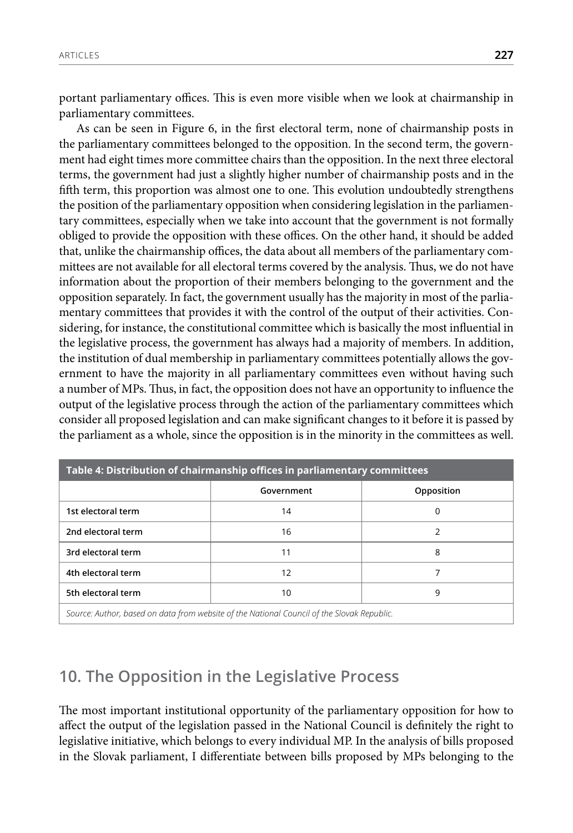portant parliamentary offices. This is even more visible when we look at chairmanship in parliamentary committees.

As can be seen in Figure 6, in the first electoral term, none of chairmanship posts in the parliamentary committees belonged to the opposition. In the second term, the government had eight times more committee chairs than the opposition. In the next three electoral terms, the government had just a slightly higher number of chairmanship posts and in the fifth term, this proportion was almost one to one. This evolution undoubtedly strengthens the position of the parliamentary opposition when considering legislation in the parliamentary committees, especially when we take into account that the government is not formally obliged to provide the opposition with these offices. On the other hand, it should be added that, unlike the chairmanship offices, the data about all members of the parliamentary committees are not available for all electoral terms covered by the analysis. Thus, we do not have information about the proportion of their members belonging to the government and the opposition separately. In fact, the government usually has the majority in most of the parliamentary committees that provides it with the control of the output of their activities. Considering, for instance, the constitutional committee which is basically the most influential in the legislative process, the government has always had a majority of members. In addition, the institution of dual membership in parliamentary committees potentially allows the government to have the majority in all parliamentary committees even without having such a number of MPs. Thus, in fact, the opposition does not have an opportunity to influence the output of the legislative process through the action of the parliamentary committees which consider all proposed legislation and can make significant changes to it before it is passed by the parliament as a whole, since the opposition is in the minority in the committees as well.

| Table 4: Distribution of chairmanship offices in parliamentary committees                  |                 |            |  |  |  |
|--------------------------------------------------------------------------------------------|-----------------|------------|--|--|--|
|                                                                                            | Government      | Opposition |  |  |  |
| 1st electoral term                                                                         | 14              | 0          |  |  |  |
| 2nd electoral term                                                                         | 16              | っ          |  |  |  |
| 3rd electoral term                                                                         | 11              | 8          |  |  |  |
| 4th electoral term<br>12                                                                   |                 |            |  |  |  |
| 5th electoral term                                                                         | 10 <sup>1</sup> | 9          |  |  |  |
| Source: Author, based on data from website of the National Council of the Slovak Republic. |                 |            |  |  |  |

## **10. The Opposition in the Legislative Process**

The most important institutional opportunity of the parliamentary opposition for how to affect the output of the legislation passed in the National Council is definitely the right to legislative initiative, which belongs to every individual MP. In the analysis of bills proposed in the Slovak parliament, I differentiate between bills proposed by MPs belonging to the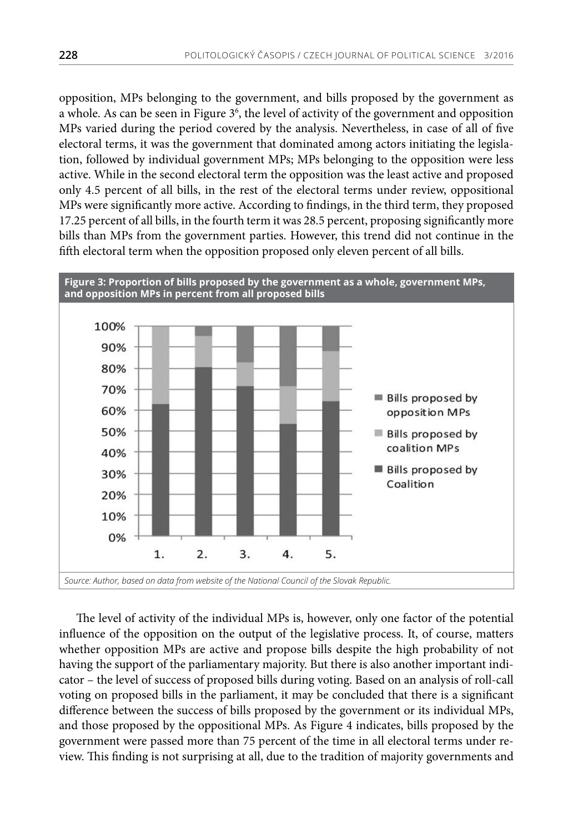opposition, MPs belonging to the government, and bills proposed by the government as a whole. As can be seen in Figure 3<sup>6</sup>, the level of activity of the government and opposition MPs varied during the period covered by the analysis. Nevertheless, in case of all of five electoral terms, it was the government that dominated among actors initiating the legislation, followed by individual government MPs; MPs belonging to the opposition were less active. While in the second electoral term the opposition was the least active and proposed only 4.5 percent of all bills, in the rest of the electoral terms under review, oppositional MPs were significantly more active. According to findings, in the third term, they proposed 17.25 percent of all bills, in the fourth term it was 28.5 percent, proposing significantly more bills than MPs from the government parties. However, this trend did not continue in the fifth electoral term when the opposition proposed only eleven percent of all bills.



The level of activity of the individual MPs is, however, only one factor of the potential influence of the opposition on the output of the legislative process. It, of course, matters whether opposition MPs are active and propose bills despite the high probability of not having the support of the parliamentary majority. But there is also another important indicator – the level of success of proposed bills during voting. Based on an analysis of roll-call voting on proposed bills in the parliament, it may be concluded that there is a significant difference between the success of bills proposed by the government or its individual MPs, and those proposed by the oppositional MPs. As Figure 4 indicates, bills proposed by the government were passed more than 75 percent of the time in all electoral terms under review. This finding is not surprising at all, due to the tradition of majority governments and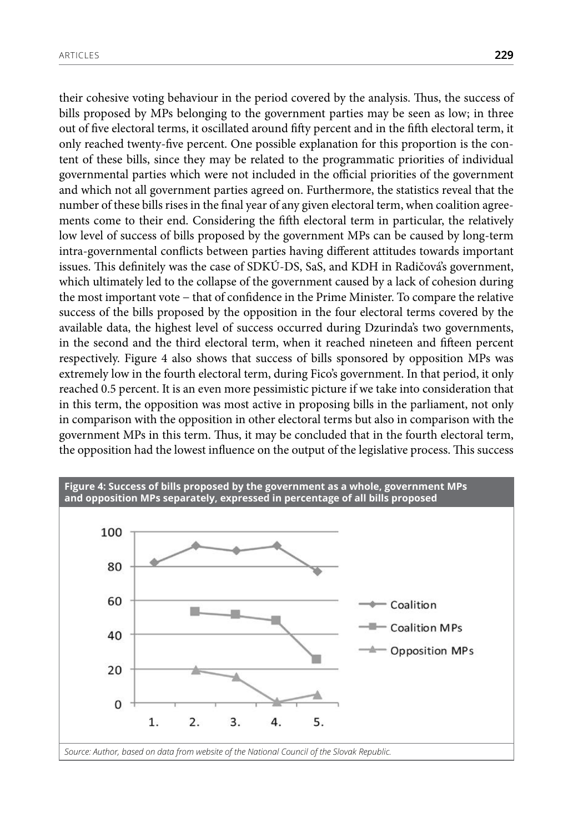their cohesive voting behaviour in the period covered by the analysis. Thus, the success of bills proposed by MPs belonging to the government parties may be seen as low; in three out of five electoral terms, it oscillated around fifty percent and in the fifth electoral term, it only reached twenty-five percent. One possible explanation for this proportion is the content of these bills, since they may be related to the programmatic priorities of individual governmental parties which were not included in the official priorities of the government and which not all government parties agreed on. Furthermore, the statistics reveal that the number of these bills rises in the final year of any given electoral term, when coalition agreements come to their end. Considering the fifth electoral term in particular, the relatively low level of success of bills proposed by the government MPs can be caused by long-term intra-governmental conflicts between parties having different attitudes towards important issues. This definitely was the case of SDKÚ-DS, SaS, and KDH in Radičová's government, which ultimately led to the collapse of the government caused by a lack of cohesion during the most important vote − that of confidence in the Prime Minister. To compare the relative success of the bills proposed by the opposition in the four electoral terms covered by the available data, the highest level of success occurred during Dzurinda's two governments, in the second and the third electoral term, when it reached nineteen and fifteen percent respectively. Figure 4 also shows that success of bills sponsored by opposition MPs was extremely low in the fourth electoral term, during Fico's government. In that period, it only reached 0.5 percent. It is an even more pessimistic picture if we take into consideration that in this term, the opposition was most active in proposing bills in the parliament, not only in comparison with the opposition in other electoral terms but also in comparison with the government MPs in this term. Thus, it may be concluded that in the fourth electoral term, the opposition had the lowest influence on the output of the legislative process. This success

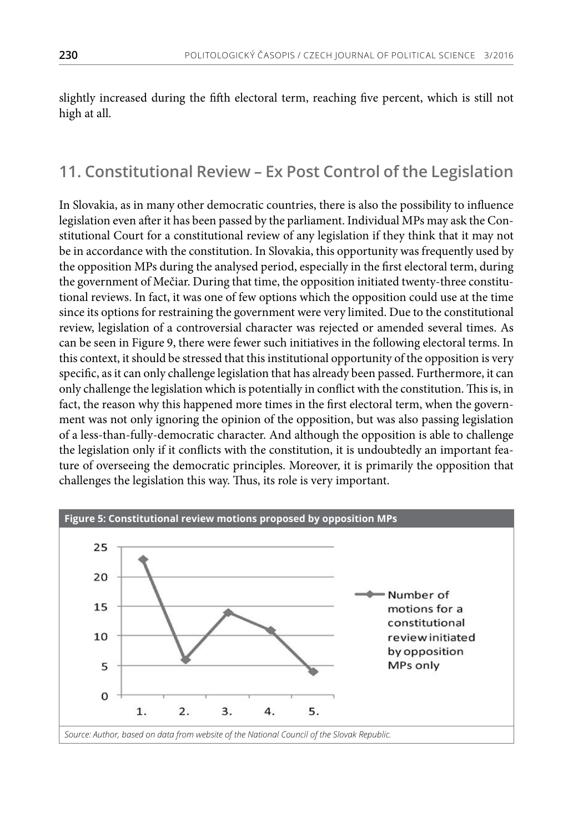slightly increased during the fifth electoral term, reaching five percent, which is still not high at all.

## **11. Constitutional Review – Ex Post Control of the Legislation**

In Slovakia, as in many other democratic countries, there is also the possibility to influence legislation even after it has been passed by the parliament. Individual MPs may ask the Constitutional Court for a constitutional review of any legislation if they think that it may not be in accordance with the constitution. In Slovakia, this opportunity was frequently used by the opposition MPs during the analysed period, especially in the first electoral term, during the government of Mečiar. During that time, the opposition initiated twenty-three constitutional reviews. In fact, it was one of few options which the opposition could use at the time since its options for restraining the government were very limited. Due to the constitutional review, legislation of a controversial character was rejected or amended several times. As can be seen in Figure 9, there were fewer such initiatives in the following electoral terms. In this context, it should be stressed that this institutional opportunity of the opposition is very specific, as it can only challenge legislation that has already been passed. Furthermore, it can only challenge the legislation which is potentially in conflict with the constitution. This is, in fact, the reason why this happened more times in the first electoral term, when the government was not only ignoring the opinion of the opposition, but was also passing legislation of a less-than-fully-democratic character. And although the opposition is able to challenge the legislation only if it conflicts with the constitution, it is undoubtedly an important feature of overseeing the democratic principles. Moreover, it is primarily the opposition that challenges the legislation this way. Thus, its role is very important.

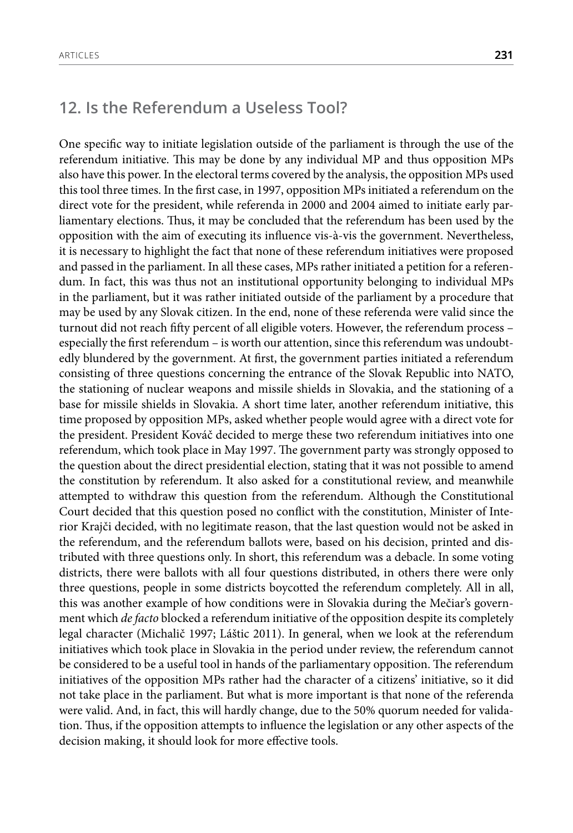#### **12. Is the Referendum a Useless Tool?**

One specific way to initiate legislation outside of the parliament is through the use of the referendum initiative. This may be done by any individual MP and thus opposition MPs also have this power. In the electoral terms covered by the analysis, the opposition MPs used this tool three times. In the first case, in 1997, opposition MPs initiated a referendum on the direct vote for the president, while referenda in 2000 and 2004 aimed to initiate early parliamentary elections. Thus, it may be concluded that the referendum has been used by the opposition with the aim of executing its influence vis-à-vis the government. Nevertheless, it is necessary to highlight the fact that none of these referendum initiatives were proposed and passed in the parliament. In all these cases, MPs rather initiated a petition for a referendum. In fact, this was thus not an institutional opportunity belonging to individual MPs in the parliament, but it was rather initiated outside of the parliament by a procedure that may be used by any Slovak citizen. In the end, none of these referenda were valid since the turnout did not reach fifty percent of all eligible voters. However, the referendum process – especially the first referendum – is worth our attention, since this referendum was undoubtedly blundered by the government. At first, the government parties initiated a referendum consisting of three questions concerning the entrance of the Slovak Republic into NATO, the stationing of nuclear weapons and missile shields in Slovakia, and the stationing of a base for missile shields in Slovakia. A short time later, another referendum initiative, this time proposed by opposition MPs, asked whether people would agree with a direct vote for the president. President Kováč decided to merge these two referendum initiatives into one referendum, which took place in May 1997. The government party was strongly opposed to the question about the direct presidential election, stating that it was not possible to amend the constitution by referendum. It also asked for a constitutional review, and meanwhile attempted to withdraw this question from the referendum. Although the Constitutional Court decided that this question posed no conflict with the constitution, Minister of Interior Krajči decided, with no legitimate reason, that the last question would not be asked in the referendum, and the referendum ballots were, based on his decision, printed and distributed with three questions only. In short, this referendum was a debacle. In some voting districts, there were ballots with all four questions distributed, in others there were only three questions, people in some districts boycotted the referendum completely. All in all, this was another example of how conditions were in Slovakia during the Mečiar's government which *de facto* blocked a referendum initiative of the opposition despite its completely legal character (Michalič 1997; Láštic 2011). In general, when we look at the referendum initiatives which took place in Slovakia in the period under review, the referendum cannot be considered to be a useful tool in hands of the parliamentary opposition. The referendum initiatives of the opposition MPs rather had the character of a citizens' initiative, so it did not take place in the parliament. But what is more important is that none of the referenda were valid. And, in fact, this will hardly change, due to the 50% quorum needed for validation. Thus, if the opposition attempts to influence the legislation or any other aspects of the decision making, it should look for more effective tools.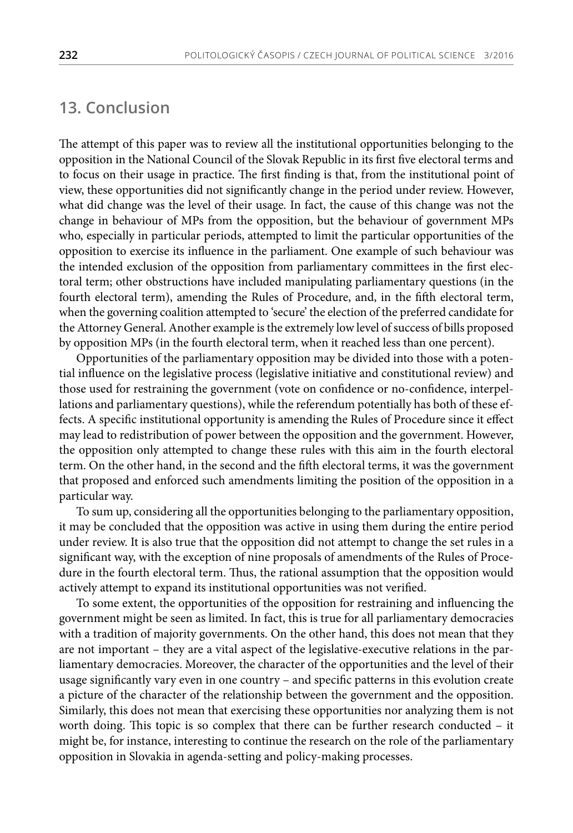#### **13. Conclusion**

The attempt of this paper was to review all the institutional opportunities belonging to the opposition in the National Council of the Slovak Republic in its first five electoral terms and to focus on their usage in practice. The first finding is that, from the institutional point of view, these opportunities did not significantly change in the period under review. However, what did change was the level of their usage. In fact, the cause of this change was not the change in behaviour of MPs from the opposition, but the behaviour of government MPs who, especially in particular periods, attempted to limit the particular opportunities of the opposition to exercise its influence in the parliament. One example of such behaviour was the intended exclusion of the opposition from parliamentary committees in the first electoral term; other obstructions have included manipulating parliamentary questions (in the fourth electoral term), amending the Rules of Procedure, and, in the fifth electoral term, when the governing coalition attempted to 'secure' the election of the preferred candidate for the Attorney General. Another example is the extremely low level of success of bills proposed by opposition MPs (in the fourth electoral term, when it reached less than one percent).

Opportunities of the parliamentary opposition may be divided into those with a potential influence on the legislative process (legislative initiative and constitutional review) and those used for restraining the government (vote on confidence or no-confidence, interpellations and parliamentary questions), while the referendum potentially has both of these effects. A specific institutional opportunity is amending the Rules of Procedure since it effect may lead to redistribution of power between the opposition and the government. However, the opposition only attempted to change these rules with this aim in the fourth electoral term. On the other hand, in the second and the fifth electoral terms, it was the government that proposed and enforced such amendments limiting the position of the opposition in a particular way.

To sum up, considering all the opportunities belonging to the parliamentary opposition, it may be concluded that the opposition was active in using them during the entire period under review. It is also true that the opposition did not attempt to change the set rules in a significant way, with the exception of nine proposals of amendments of the Rules of Procedure in the fourth electoral term. Thus, the rational assumption that the opposition would actively attempt to expand its institutional opportunities was not verified.

To some extent, the opportunities of the opposition for restraining and influencing the government might be seen as limited. In fact, this is true for all parliamentary democracies with a tradition of majority governments. On the other hand, this does not mean that they are not important – they are a vital aspect of the legislative-executive relations in the parliamentary democracies. Moreover, the character of the opportunities and the level of their usage significantly vary even in one country – and specific patterns in this evolution create a picture of the character of the relationship between the government and the opposition. Similarly, this does not mean that exercising these opportunities nor analyzing them is not worth doing. This topic is so complex that there can be further research conducted – it might be, for instance, interesting to continue the research on the role of the parliamentary opposition in Slovakia in agenda-setting and policy-making processes.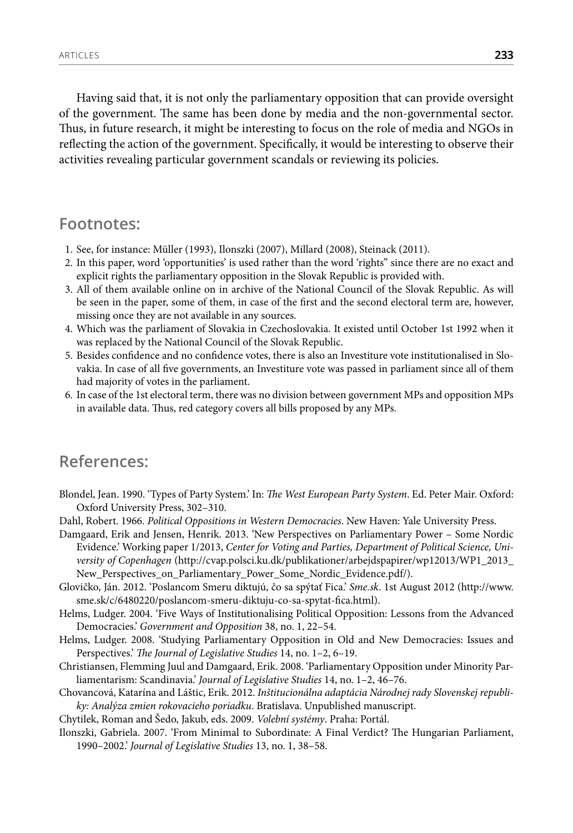Having said that, it is not only the parliamentary opposition that can provide oversight of the government. The same has been done by media and the non-governmental sector. Thus, in future research, it might be interesting to focus on the role of media and NGOs in reflecting the action of the government. Specifically, it would be interesting to observe their activities revealing particular government scandals or reviewing its policies.

#### **Footnotes:**

- 1. See, for instance: Müller (1993), Ilonszki (2007), Millard (2008), Steinack (2011).
- 2. In this paper, word 'opportunities' is used rather than the word 'rights" since there are no exact and explicit rights the parliamentary opposition in the Slovak Republic is provided with.
- 3. All of them available online on in archive of the National Council of the Slovak Republic. As will be seen in the paper, some of them, in case of the first and the second electoral term are, however, missing once they are not available in any sources.
- 4. Which was the parliament of Slovakia in Czechoslovakia. It existed until October 1st 1992 when it was replaced by the National Council of the Slovak Republic.
- 5. Besides confidence and no confidence votes, there is also an Investiture vote institutionalised in Slovakia. In case of all five governments, an Investiture vote was passed in parliament since all of them had majority of votes in the parliament.
- 6. In case of the 1st electoral term, there was no division between government MPs and opposition MPs in available data. Thus, red category covers all bills proposed by any MPs.

#### **References:**

- Blondel, Jean. 1990. 'Types of Party System.' In: *The West European Party System*. Ed. Peter Mair. Oxford: Oxford University Press, 302–310.
- Dahl, Robert. 1966. *Political Oppositions in Western Democracies*. New Haven: Yale University Press.
- Damgaard, Erik and Jensen, Henrik. 2013. 'New Perspectives on Parliamentary Power Some Nordic Evidence.' Working paper 1/2013, *Center for Voting and Parties, Department of Political Science, University of Copenhagen* (http://cvap.polsci.ku.dk/publikationer/arbejdspapirer/wp12013/WP1\_2013\_ New\_Perspectives\_on\_Parliamentary\_Power\_Some\_Nordic\_Evidence.pdf/).
- Glovičko, Ján. 2012. 'Poslancom Smeru diktujú, čo sa spýtať Fica.' *Sme.sk*. 1st August 2012 ([http://www.](http://www.sme.sk/c/6480220/poslancom-smeru-diktuju-co-sa-spytat-fica.html) [sme.sk/c/6480220/poslancom-smeru-diktuju-co-sa-spytat-fica.html](http://www.sme.sk/c/6480220/poslancom-smeru-diktuju-co-sa-spytat-fica.html)).
- Helms, Ludger. 2004. 'Five Ways of Institutionalising Political Opposition: Lessons from the Advanced Democracies.' *Government and Opposition* 38, no. 1, 22–54.
- Helms, Ludger. 2008. 'Studying Parliamentary Opposition in Old and New Democracies: Issues and Perspectives.' *The Journal of Legislative Studies* 14, no. 1–2, 6–19.
- Christiansen, Flemming Juul and Damgaard, Erik. 2008. 'Parliamentary Opposition under Minority Parliamentarism: Scandinavia.' *Journal of Legislative Studies* 14, no. 1–2, 46–76.
- Chovancová, Katarína and Láštic, Erik. 2012. *Inštitucionálna adaptácia Národnej rady Slovenskej republiky: Analýza zmien rokovacieho poriadku*. Bratislava. Unpublished manuscript.
- Chytilek, Roman and Šedo, Jakub, eds. 2009. *Volební systémy*. Praha: Portál.
- Ilonszki, Gabriela. 2007. 'From Minimal to Subordinate: A Final Verdict? The Hungarian Parliament, 1990–2002.' *Journal of Legislative Studies* 13, no. 1, 38–58.